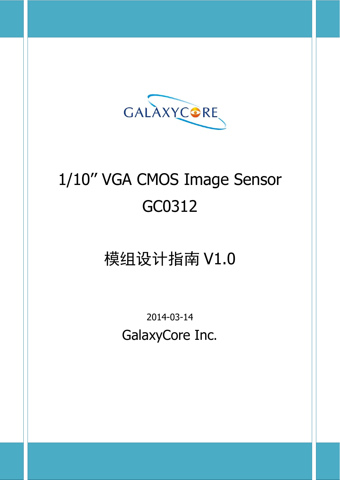

# 1/10'' VGA CMOS Image Sensor GC0312

## 模组设计指南 V1.0

2014-03-14 GalaxyCore Inc.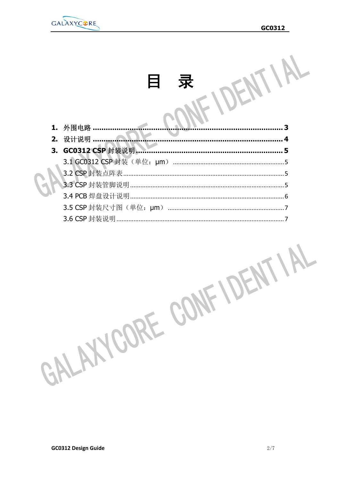

| 1. | 外围电路<br>ર             |  |
|----|-----------------------|--|
| 2. | 设计说明                  |  |
| З. | GC0312 CSP 封装说明.<br>5 |  |
|    |                       |  |
|    | 3.2 CSP 封装点阵表         |  |
|    |                       |  |
|    |                       |  |
|    |                       |  |
|    | 3.6 CSP 封装说明          |  |

GALAXYCORE CONFIDENTIAL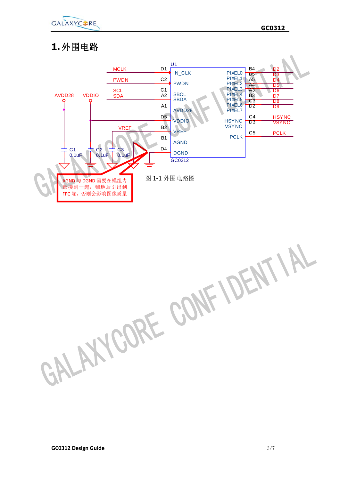

#### **1.** 外围电路



GALAXYCORE CONFIDENTIAL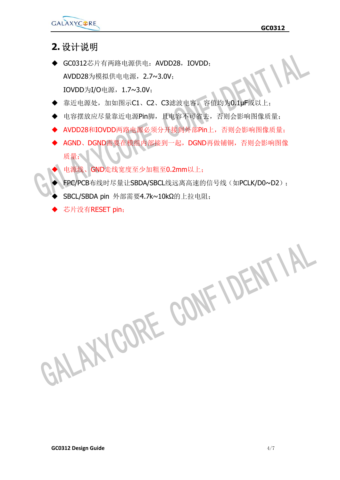

#### **2.** 设计说明

- ◆ GC0312芯片有两路电源供电: AVDD28, IOVDD; AVDD28为模拟供电电源,2.7~3.0V; IOVDD为I/O电源,1.7~3.0V;
- ◆ 靠近电源处,加如图示C1、C2、C3滤波电容,容值均为0.1µF或以上;
- 电容摆放应尽量靠近电源Pin脚,且电容不可省去,否则会影响图像质量;
- ▶ AVDD28和IOVDD两路电源必须分开接到外部Pin上,否则会影响图像质量;
- AGND、DGND需要在模组内部接到一起,DGND再做铺铜,否则会影响图像 质量;
	- 电源线、GND走线宽度至少加粗至0.2mm以上;
- FPC/PCB布线时尽量让SBDA/SBCL线远离高速的信号线(如PCLK/D0~D2);
- SBCL/SBDA pin 外部需要4.7k~10kΩ的上拉电阻;
- 芯片没有RESET pin;

GALAXYCORE CONFIDENTIAL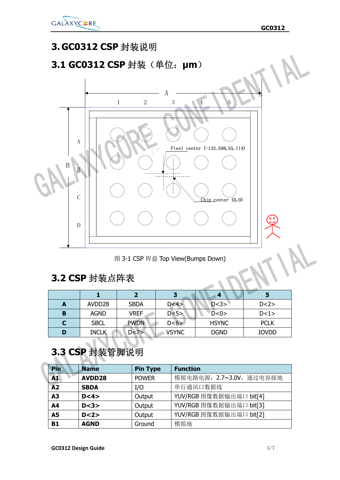

#### **3. GC0312 CSP** 封装说明

#### **3.1 GC0312 CSP** 封装(单位:**μm**)



图 3-1 CSP 焊盘 Top View(Bumps Down)

#### **3.2 CSP** 封装点阵表

| A | AVDD28       | <b>SBDA</b> | D < 4        | D < 3>       | D < 2>       |
|---|--------------|-------------|--------------|--------------|--------------|
| в | <b>AGND</b>  | <b>VREF</b> | D < 5        | D < 0        | D < 1>       |
| C | <b>SBCL</b>  | <b>PWDN</b> | D < 6 >      | <b>HSYNC</b> | <b>PCLK</b>  |
| D | <b>INCLK</b> | D<7>        | <b>VSYNC</b> | <b>DGND</b>  | <b>IOVDD</b> |

#### **3.3 CSP** 封装管脚说明

| <b>Pin</b>      | <b>Name</b> | <b>Pin Type</b> | <b>Function</b>          |
|-----------------|-------------|-----------------|--------------------------|
| A1              | AVDD28      | <b>POWER</b>    | 模拟电路电源: 2.7~3.0V, 通过电容接地 |
| $\overline{A2}$ | <b>SBDA</b> | I/O             | 串行通讯口数据线                 |
| A <sub>3</sub>  | D < 4>      | Output          | YUV/RGB 图像数据输出端口 bit[4]  |
| A <sub>4</sub>  | D < 3       | Output          | YUV/RGB 图像数据输出端口 bit[3]  |
| <b>A5</b>       | D < 2>      | Output          | YUV/RGB 图像数据输出端口 bit[2]  |
| <b>B1</b>       | <b>AGND</b> | Ground          | 模拟地                      |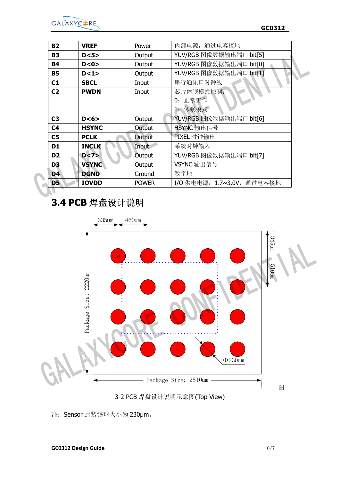

| <b>B2</b>      | <b>VREF</b>  | Power        | 内部电源, 通过电容接地               |  |
|----------------|--------------|--------------|----------------------------|--|
| <b>B3</b>      | D < 5        | Output       | YUV/RGB 图像数据输出端口 bit[5]    |  |
| <b>B4</b>      | D < 0 >      | Output       | YUV/RGB 图像数据输出端口 bit[0]    |  |
| <b>B5</b>      | D < 1>       | Output       | YUV/RGB 图像数据输出端口 bit[1]    |  |
| C1             | <b>SBCL</b>  | Input        | 串行通讯口时钟线                   |  |
| C <sub>2</sub> | <b>PWDN</b>  | Input        | 芯片休眠模式控制:                  |  |
|                |              |              | 正常工作<br>0:                 |  |
|                |              |              | 1. 休眠模式                    |  |
| C <sub>3</sub> | D < 6        | Output       | YUV/RGB 图像数据输出端口 bit[6]    |  |
| C <sub>4</sub> | <b>HSYNC</b> | Output       | HSYNC 输出信号                 |  |
| C <sub>5</sub> | <b>PCLK</b>  | Output       | PIXEL 时钟输出                 |  |
| D <sub>1</sub> | <b>INCLK</b> | Input        | 系统时钟输入                     |  |
| D <sub>2</sub> | D < 7>       | Output       | YUV/RGB 图像数据输出端口 bit[7]    |  |
| D <sub>3</sub> | <b>VSYNC</b> | Output       | VSYNC 输出信号                 |  |
| D <sub>4</sub> | <b>DGND</b>  | Ground       | 数字地                        |  |
| <b>D5</b>      | <b>IOVDD</b> | <b>POWER</b> | I/O 供电电源: 1.7~3.0V, 通过电容接地 |  |

### **3.4 PCB** 焊盘设计说明



注:Sensor 封装锡球大小为 230μm。